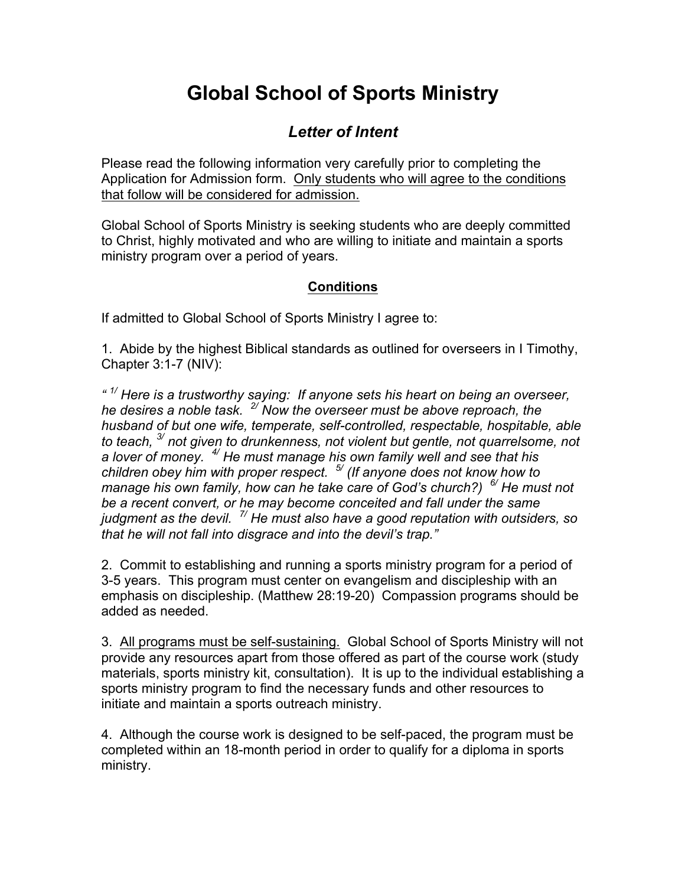## **Global School of Sports Ministry**

## *Letter of Intent*

Please read the following information very carefully prior to completing the Application for Admission form. Only students who will agree to the conditions that follow will be considered for admission.

Global School of Sports Ministry is seeking students who are deeply committed to Christ, highly motivated and who are willing to initiate and maintain a sports ministry program over a period of years.

## **Conditions**

If admitted to Global School of Sports Ministry I agree to:

1. Abide by the highest Biblical standards as outlined for overseers in I Timothy, Chapter 3:1-7 (NIV):

*" 1/ Here is a trustworthy saying: If anyone sets his heart on being an overseer, he desires a noble task. 2/ Now the overseer must be above reproach, the husband of but one wife, temperate, self-controlled, respectable, hospitable, able to teach, 3/ not given to drunkenness, not violent but gentle, not quarrelsome, not a lover of money. 4/ He must manage his own family well and see that his children obey him with proper respect. 5/ (If anyone does not know how to manage his own family, how can he take care of God's church?) 6/ He must not be a recent convert, or he may become conceited and fall under the same judgment as the devil. 7/ He must also have a good reputation with outsiders, so that he will not fall into disgrace and into the devil's trap."*

2. Commit to establishing and running a sports ministry program for a period of 3-5 years. This program must center on evangelism and discipleship with an emphasis on discipleship. (Matthew 28:19-20) Compassion programs should be added as needed.

3. All programs must be self-sustaining. Global School of Sports Ministry will not provide any resources apart from those offered as part of the course work (study materials, sports ministry kit, consultation). It is up to the individual establishing a sports ministry program to find the necessary funds and other resources to initiate and maintain a sports outreach ministry.

4. Although the course work is designed to be self-paced, the program must be completed within an 18-month period in order to qualify for a diploma in sports ministry.